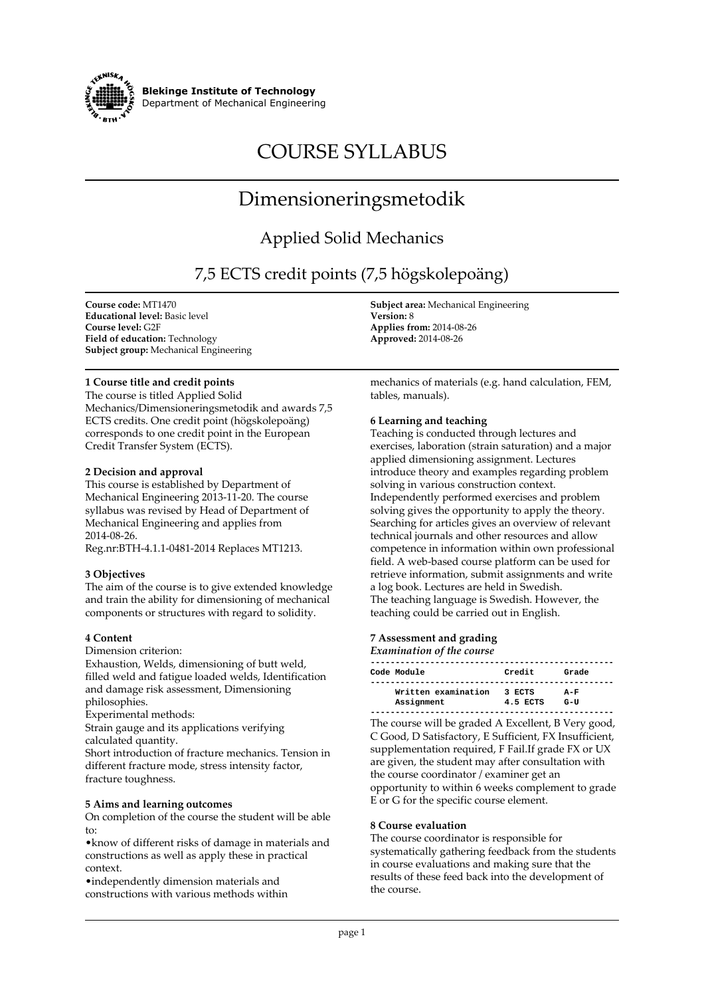

**Blekinge Institute of Technology Department of Mechanical Engineering**

# **COURSE SYLLABUS**

# **Dimensioneringsmetodik**

# **Applied Solid Mechanics**

# **7,5 ECTS credit points (7,5 högskolepoäng)**

**Course code: MT1470 Educational level: Basic level Course level: G2F Field of education: Technology Subject group: Mechanical Engineering**

### **1 Course title and credit points**

**The course is titled Applied Solid Mechanics/Dimensioneringsmetodik and awards 7,5 ECTS credits. One credit point (högskolepoäng) corresponds to one credit point in the European Credit Transfer System (ECTS).**

#### **2 Decision and approval**

**This course is established by Department of Mechanical Engineering 2013-11-20. The course syllabus was revised by Head of Department of Mechanical Engineering and applies from 2014-08-26.**

**Reg.nr:BTH-4.1.1-0481-2014 Replaces MT1213.**

#### **3 Objectives**

**The aim of the course is to give extended knowledge and train the ability for dimensioning of mechanical components or structures with regard to solidity.**

#### **4 Content**

**Dimension criterion:**

**Exhaustion, Welds, dimensioning of butt weld, filled weld and fatigue loaded welds, Identification and damage risk assessment, Dimensioning philosophies.**

**Experimental methods:**

**Strain gauge and its applications verifying calculated quantity.**

**Short introduction of fracture mechanics. Tension in different fracture mode, stress intensity factor, fracture toughness.**

#### **5 Aims and learning outcomes**

**On completion of the course the student will be able to:**

**•know of different risks of damage in materials and constructions as well as apply these in practical context.**

**•independently dimension materials and constructions with various methods within** **Subject area: Mechanical Engineering Version: 8 Applies from: 2014-08-26 Approved: 2014-08-26**

**mechanics of materials (e.g. hand calculation, FEM, tables, manuals).**

#### **6 Learning and teaching**

**Teaching is conducted through lectures and exercises, laboration (strain saturation) and a major applied dimensioning assignment. Lectures introduce theory and examples regarding problem solving in various construction context. Independently performed exercises and problem solving gives the opportunity to apply the theory. Searching for articles gives an overview of relevant technical journals and other resources and allow competence in information within own professional field. A web-based course platform can be used for retrieve information, submit assignments and write a log book. Lectures are held in Swedish. The teaching language is Swedish. However, the teaching could be carried out in English.**

# **7 Assessment and grading**

*Examination of the course*

| Code Module                       | Credit             | Grade           |
|-----------------------------------|--------------------|-----------------|
| Written examination<br>Assignment | 3 ECTS<br>4.5 ECTS | $A-F$<br>$G-II$ |

**The course will be graded A Excellent, B Very good, C Good, D Satisfactory, E Sufficient, FX Insufficient, supplementation required, F Fail.If grade FX or UX are given, the student may after consultation with the course coordinator / examiner get an opportunity to within 6 weeks complement to grade E or G for the specific course element.**

#### **8 Course evaluation**

**The course coordinator is responsible for systematically gathering feedback from the students in course evaluations and making sure that the results of these feed back into the development of the course.**